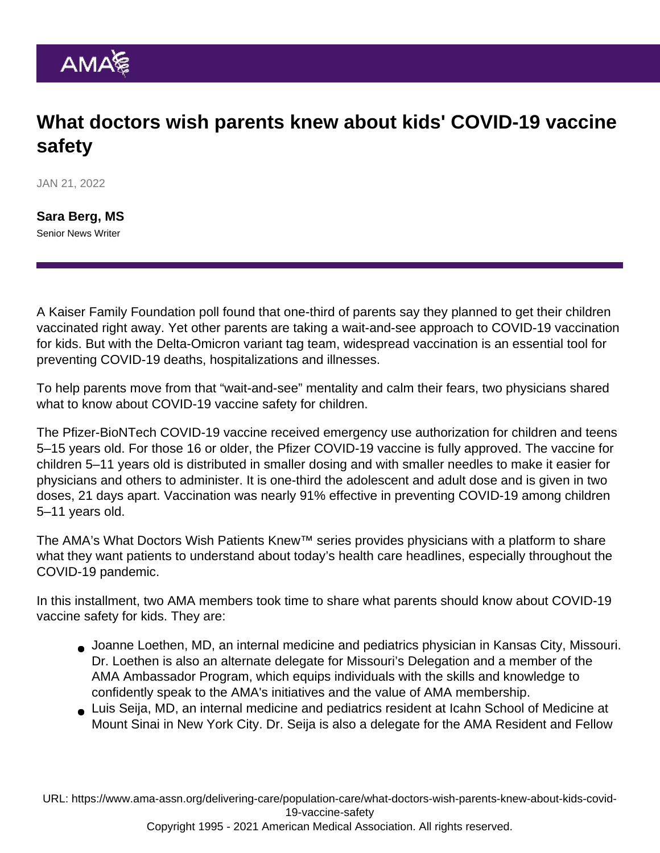# What doctors wish parents knew about kids' COVID-19 vaccine safety

JAN 21, 2022

[Sara Berg, MS](https://www.ama-assn.org/news-leadership-viewpoints/authors-news-leadership-viewpoints/sara-berg-ms) Senior News Writer

A Kaiser Family Foundation poll found that one-third of parents say they planned to get their children vaccinated right away. Yet other parents are taking a wait-and-see approach to COVID-19 vaccination for kids. But with the [Delta-Omicron variant tag team](https://www.ama-assn.org/delivering-care/public-health/delta-omicron-variant-tag-team-makes-booster-doses-essential), widespread vaccination is an essential tool for preventing COVID-19 deaths, hospitalizations and illnesses.

To help parents move from that "wait-and-see" mentality and calm their fears, two physicians shared what to know about COVID-19 vaccine safety for children.

The [Pfizer-BioNTech COVID-19 vaccine](https://www.ama-assn.org/delivering-care/public-health/pfizer-covid-19-vaccine-kids-5-and-what-doctors-must-know) received emergency use authorization for children and teens 5–15 years old. For those 16 or older, the Pfizer COVID-19 vaccine is fully approved. The vaccine for children 5–11 years old is distributed in smaller dosing and with smaller needles to make it easier for physicians and others to administer. It is one-third the adolescent and adult dose and is given in two doses, 21 days apart. Vaccination was nearly 91% effective in preventing COVID-19 among children 5–11 years old.

The AMA's [What Doctors Wish Patients Knew™](https://www.ama-assn.org/series/what-doctors-wish-patients-knew) series provides physicians with a platform to share what they want patients to understand about today's health care headlines, especially throughout the COVID-19 pandemic.

In this installment, two AMA members took time to share what parents should know about COVID-19 vaccine safety for kids. They are:

- [Joanne Loethen, MD](https://www.ama-assn.org/member-groups-sections/residents-fellows/joanne-loethen-md-ma), an internal medicine and pediatrics physician in Kansas City, Missouri. Dr. Loethen is also an alternate delegate for Missouri's Delegation and a member of the [AMA Ambassador Program](https://www.ama-assn.org/amaone/ama-ambassador-program), which equips individuals with the skills and knowledge to confidently speak to the AMA's initiatives and the value of AMA membership.
- [Luis Seija, MD](https://www.ama-assn.org/member-groups-sections/residents-fellows/luis-seija-md), an internal medicine and pediatrics resident at Icahn School of Medicine at Mount Sinai in New York City. Dr. Seija is also a delegate for the [AMA Resident and Fellow](https://www.ama-assn.org/member-groups-sections/residents-fellows)

URL: [https://www.ama-assn.org/delivering-care/population-care/what-doctors-wish-parents-knew-about-kids-covid-](https://www.ama-assn.org/delivering-care/population-care/what-doctors-wish-parents-knew-about-kids-covid-19-vaccine-safety)[19-vaccine-safety](https://www.ama-assn.org/delivering-care/population-care/what-doctors-wish-parents-knew-about-kids-covid-19-vaccine-safety)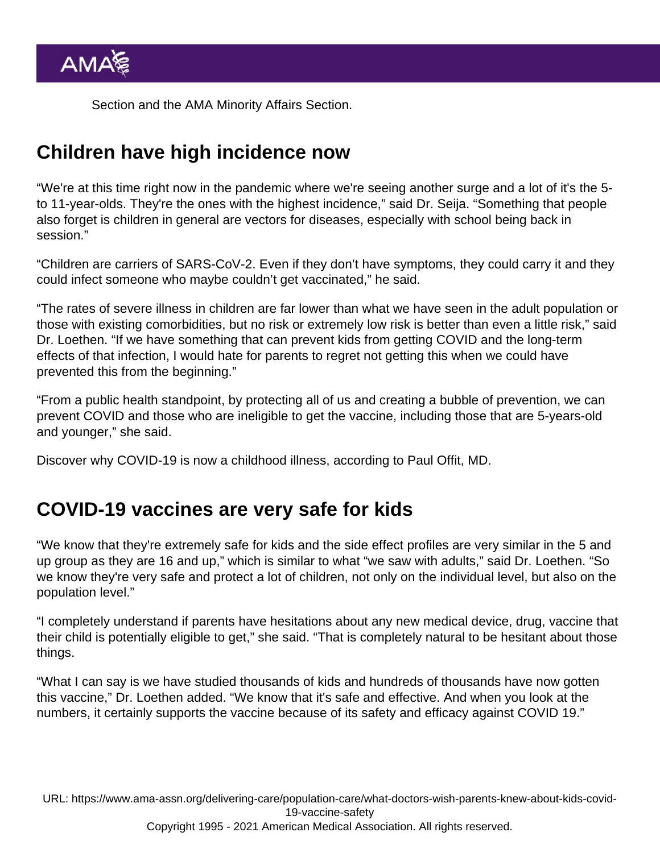[Section](https://www.ama-assn.org/member-groups-sections/residents-fellows) and the [AMA Minority Affairs Section.](https://www.ama-assn.org/member-groups-sections/minority-affairs-0)

### Children have high incidence now

"We're at this time right now in the pandemic where we're seeing another surge and a lot of it's the 5 to 11-year-olds. They're the ones with the highest incidence," said Dr. Seija. "Something that people also forget is children in general are vectors for diseases, especially with school being back in session."

"Children are carriers of SARS-CoV-2. Even if they don't have symptoms, they could carry it and they could infect someone who maybe couldn't get vaccinated," he said.

"The rates of severe illness in children are far lower than what we have seen in the adult population or those with existing comorbidities, but no risk or extremely low risk is better than even a little risk," said [Dr. Loethen.](https://www.ama-assn.org/residents-students/specialty-profiles/what-it-s-be-medicine-pediatrics-shadowing-dr-loethen) "If we have something that can prevent kids from getting COVID and the long-term effects of that infection, I would hate for parents to regret not getting this when we could have prevented this from the beginning."

"From a public health standpoint, by protecting all of us and creating a bubble of prevention, we can prevent COVID and those who are ineligible to get the vaccine, including those that are 5-years-old and younger," she said.

Discover why [COVID-19 is now a childhood illness,](https://www.ama-assn.org/delivering-care/public-health/dr-offit-covid-19-now-childhood-illness) according to Paul Offit, MD.

## COVID-19 vaccines are very safe for kids

"We know that they're extremely safe for kids and the side effect profiles are very similar in the 5 and up group as they are 16 and up," which is similar to what "we saw with adults," said Dr. Loethen. "So we know they're very safe and protect a lot of children, not only on the individual level, but also on the population level."

"I completely understand if parents have hesitations about any new medical device, drug, vaccine that their child is potentially eligible to get," she said. "That is completely natural to be hesitant about those things.

"What I can say is we have studied thousands of kids and hundreds of thousands have now gotten this vaccine," Dr. Loethen added. "We know that it's safe and effective. And when you look at the numbers, it certainly supports the vaccine because of its safety and efficacy against COVID 19."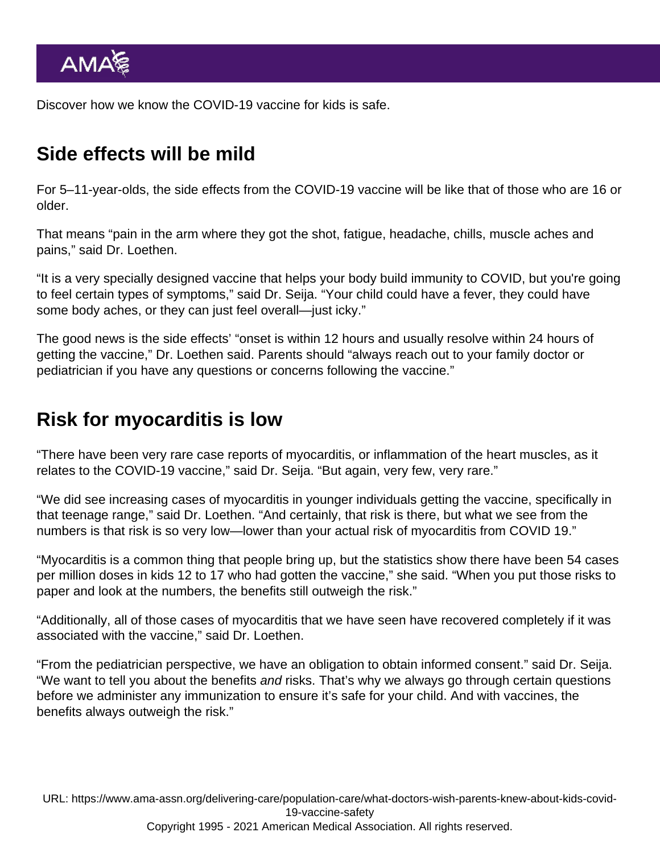Discover [how we know the COVID-19 vaccine for kids is safe.](https://www.ama-assn.org/delivering-care/public-health/covid-19-vaccine-kids-how-we-know-it-s-safe)

## Side effects will be mild

For 5–11-year-olds, the side effects from the COVID-19 vaccine will be like that of those who are 16 or older.

That means "pain in the arm where they got the shot, fatigue, headache, chills, muscle aches and pains," said Dr. Loethen.

"It is a very specially designed vaccine that helps your body build immunity to COVID, but you're going to feel certain types of symptoms," said Dr. Seija. "Your child could have a fever, they could have some body aches, or they can just feel overall—just icky."

The good news is the side effects' "onset is within 12 hours and usually resolve within 24 hours of getting the vaccine," Dr. Loethen said. Parents should "always reach out to your family doctor or pediatrician if you have any questions or concerns following the vaccine."

#### Risk for myocarditis is low

"There have been very rare case reports of myocarditis, or inflammation of the heart muscles, as it relates to the COVID-19 vaccine," said Dr. Seija. "But again, very few, very rare."

"We did see [increasing cases of myocarditis](https://www.ama-assn.org/delivering-care/public-health/what-tell-patients-about-myocarditis-after-covid-19-vaccination) in younger individuals getting the vaccine, specifically in that teenage range," said Dr. Loethen. "And certainly, that risk is there, but what we see from the numbers is that risk is so very low—lower than your actual risk of myocarditis from COVID 19."

"Myocarditis is a common thing that people bring up, but the statistics show there have been 54 cases per million doses in kids 12 to 17 who had gotten the vaccine," she said. "When you put those risks to paper and look at the numbers, the benefits still outweigh the risk."

"Additionally, all of those cases of myocarditis that we have seen have recovered completely if it was associated with the vaccine," said Dr. Loethen.

"From the pediatrician perspective, we have an obligation to obtain informed consent." said Dr. Seija. "We want to tell you about the benefits and risks. That's why we always go through certain questions before we administer any immunization to ensure it's safe for your child. And with vaccines, the benefits always outweigh the risk."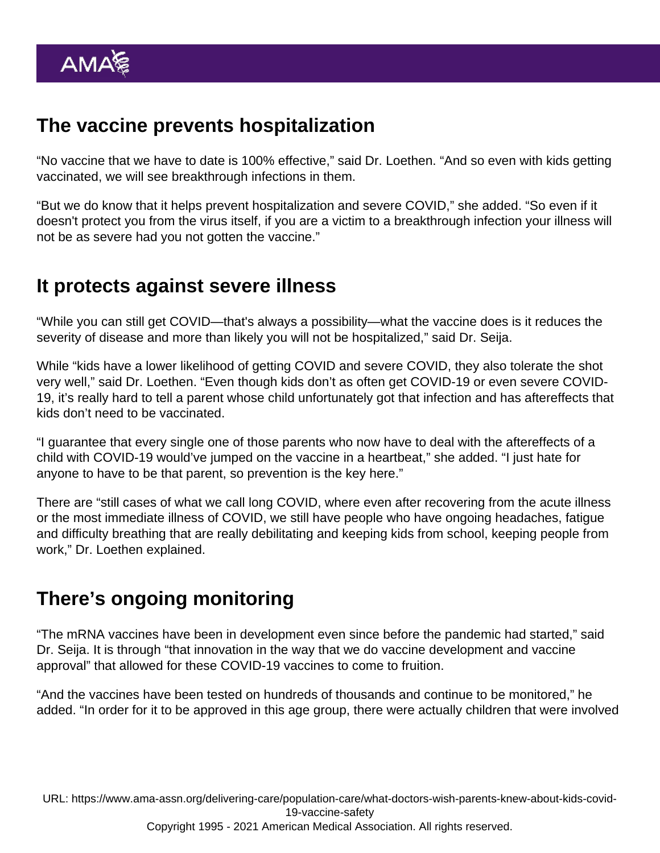## The vaccine prevents hospitalization

"No vaccine that we have to date is 100% effective," said Dr. Loethen. "And so even with kids getting vaccinated, we will see [breakthrough infections](https://www.ama-assn.org/delivering-care/public-health/what-doctors-wish-patients-knew-about-breakthrough-covid-infections) in them.

"But we do know that it helps prevent hospitalization and severe COVID," she added. "So even if it doesn't protect you from the virus itself, if you are a victim to a breakthrough infection your illness will not be as severe had you not gotten the vaccine."

### It protects against severe illness

"While you can still get COVID—that's always a possibility—what the vaccine does is it reduces the severity of disease and more than likely you will not be hospitalized," said Dr. Seija.

While "kids have a lower likelihood of getting COVID and severe COVID, they also tolerate the shot very well," said Dr. Loethen. "Even though kids don't as often get COVID-19 or even severe COVID-19, it's really hard to tell a parent whose child unfortunately got that infection and has aftereffects that kids don't need to be vaccinated.

"I guarantee that every single one of those parents who now have to deal with the aftereffects of a child with COVID-19 would've jumped on the vaccine in a heartbeat," she added. "I just hate for anyone to have to be that parent, so prevention is the key here."

There are "still cases of what we call [long COVID,](https://www.ama-assn.org/delivering-care/public-health/what-doctors-wish-patients-knew-about-long-covid) where even after recovering from the acute illness or the most immediate illness of COVID, we still have people who have ongoing headaches, fatigue and difficulty breathing that are really debilitating and keeping kids from school, keeping people from work," Dr. Loethen explained.

# There's ongoing monitoring

"The mRNA vaccines have been in development even since before the pandemic had started," said Dr. Seija. It is through "that innovation in the way that we do vaccine development and vaccine approval" that allowed for these COVID-19 vaccines to come to fruition.

"And the vaccines have been tested on hundreds of thousands and continue to be monitored," he added. "In order for it to be approved in this age group, there were actually children that were involved